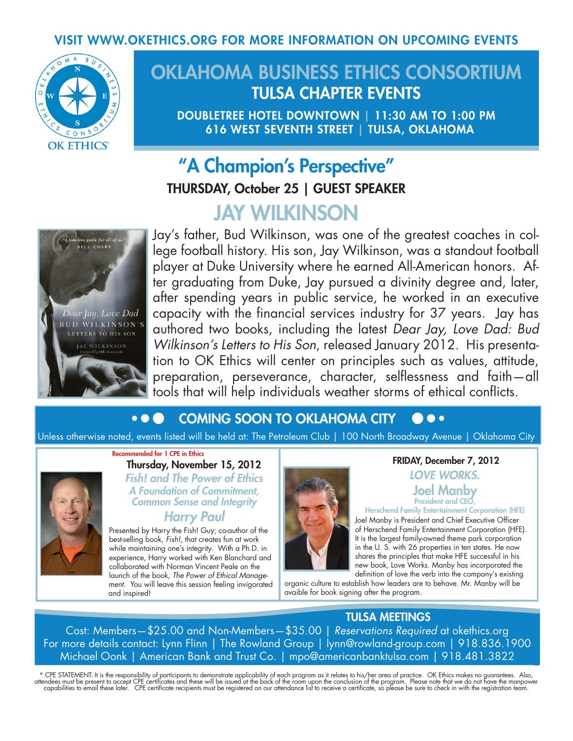### VISIT WWW.OKETHICS.ORG FOR MORE INFORMATION ON UPCOMING EVENTS



## OKLAHOMA BUSINESS ETHICS CONSORTIUM TULSA CHAPTER EVENTS

DOUBLETREE HOTEL DOWNTOWN | 11:30 AM TO 1:00 PM 616 WEST SEVENTH STREET | TULSA, OKLAHOMA

## "A Champion's Perspective" THURSDAY, October 25 | GUEST SPEAKER JAY WILKINSON



Jay's father, Bud Wilkinson, was one of the greatest coaches in college football history. His son, Jay Wilkinson, was a standout football player at Duke University where he earned All-American honors. After graduating from Duke, Jay pursued a divinity degree and, later, after spending years in public service, he worked in an executive capacity with the financial services industry for 37 years. Jay has authored two books, including the latest *Dear Jay, Love Dad: Bud Wilkinson's Letters to His Son*, released January 2012. His presentation to OK Ethics will center on principles such as values, attitude, preparation, perseverance, character, selflessness and faith—all tools that will help individuals weather storms of ethical conflicts.

#### $\bullet$   $\bullet$ COMING SOON TO OKLAHOMA CITY

Unless otherwise noted, events listed will be held at: The Petroleum Club | 100 North Broadway Avenue | Oklahoma City



#### Recommended for 1 CPE in Ethics Thursday, November 15, 2012

*Fish! and The Power of Ethics A Foundation of Commitment, Common Sense and Integrity Harry Paul*

Presented by Harry the Fish! Guy; co-author of the best-selling book, *Fish!*, that creates fun at work while maintaining one's integrity. With a Ph.D. in experience, Harry worked with Ken Blanchard and collaborated with Norman Vincent Peale on the launch of the book, *The Power of Ethical Management*. You will leave this session feeling invigorated and inspired!



FRIDAY, December 7, 2012

#### *LOVE WORKS.* Joel Manby President and CEO

Herschend Family Entertainment Corporation (HFE) Joel Manby is President and Chief Executive Officer of Herschend Family Entertainment Corporation (HFE). It is the largest family-owned theme park corporation in the U. S. with 26 properties in ten states. He now shares the principles that make HFE successful in his new book, Love Works. Manby has incorporated the

definition of love the verb into the company's existing organic culture to establish how leaders are to behave. Mr. Manby will be avaible for book signing after the program.

## TULSA MEETINGS

Cost: Members—\$25.00 and Non-Members—\$35.00 | *Reservations Required* at okethics.org For more details contact: Lynn Flinn | The Rowland Group | lynn@rowland-group.com | 918.836.1900 Michael Oonk | American Bank and Trust Co. | mpo@americanbanktulsa.com | 918.481.3822

\* CPE STATEMENT: It is the responsibility of participants to demonstrate applicability of each program as it relates to his/her area of practice. OK Ethics makes no guarantees. Also,<br>attendees must be present to accept CPE